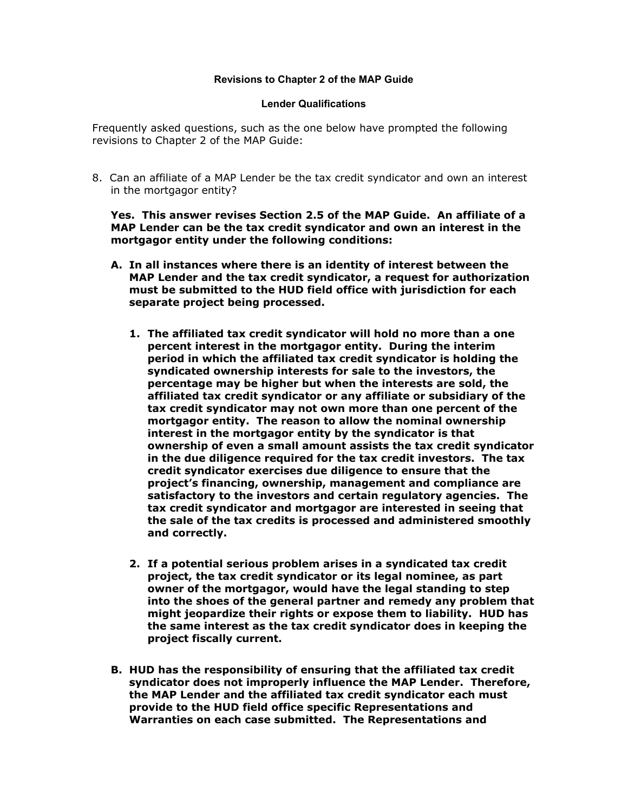## **Revisions to Chapter 2 of the MAP Guide**

## **Lender Qualifications**

Frequently asked questions, such as the one below have prompted the following revisions to Chapter 2 of the MAP Guide:

8. Can an affiliate of a MAP Lender be the tax credit syndicator and own an interest in the mortgagor entity?

**Yes. This answer revises Section 2.5 of the MAP Guide. An affiliate of a MAP Lender can be the tax credit syndicator and own an interest in the mortgagor entity under the following conditions:** 

- **A. In all instances where there is an identity of interest between the MAP Lender and the tax credit syndicator, a request for authorization must be submitted to the HUD field office with jurisdiction for each separate project being processed.** 
	- **1. The affiliated tax credit syndicator will hold no more than a one percent interest in the mortgagor entity. During the interim period in which the affiliated tax credit syndicator is holding the syndicated ownership interests for sale to the investors, the percentage may be higher but when the interests are sold, the affiliated tax credit syndicator or any affiliate or subsidiary of the tax credit syndicator may not own more than one percent of the mortgagor entity. The reason to allow the nominal ownership interest in the mortgagor entity by the syndicator is that ownership of even a small amount assists the tax credit syndicator in the due diligence required for the tax credit investors. The tax credit syndicator exercises due diligence to ensure that the project's financing, ownership, management and compliance are satisfactory to the investors and certain regulatory agencies. The tax credit syndicator and mortgagor are interested in seeing that the sale of the tax credits is processed and administered smoothly and correctly.**
	- **2. If a potential serious problem arises in a syndicated tax credit project, the tax credit syndicator or its legal nominee, as part owner of the mortgagor, would have the legal standing to step into the shoes of the general partner and remedy any problem that might jeopardize their rights or expose them to liability. HUD has the same interest as the tax credit syndicator does in keeping the project fiscally current.**
- **B. HUD has the responsibility of ensuring that the affiliated tax credit syndicator does not improperly influence the MAP Lender. Therefore, the MAP Lender and the affiliated tax credit syndicator each must provide to the HUD field office specific Representations and Warranties on each case submitted. The Representations and**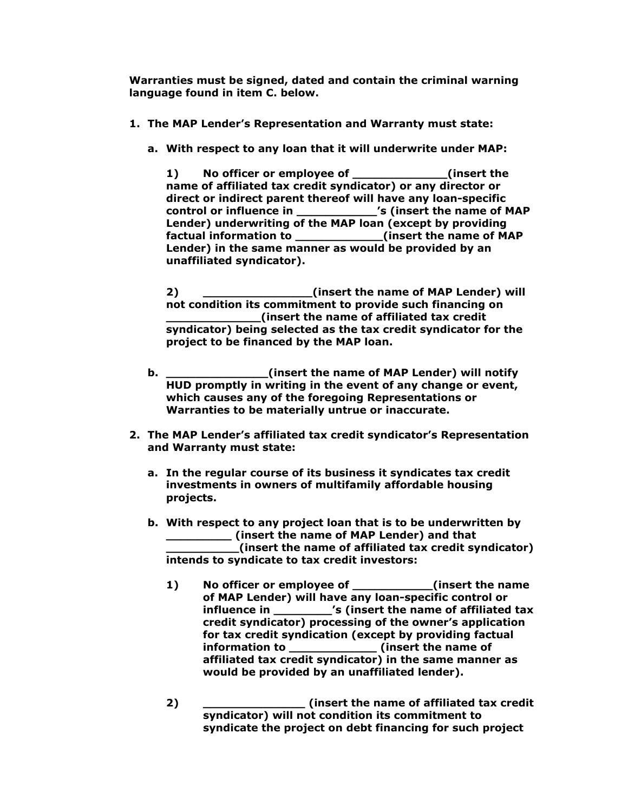**Warranties must be signed, dated and contain the criminal warning language found in item C. below.** 

- **1. The MAP Lender's Representation and Warranty must state:** 
	- **a. With respect to any loan that it will underwrite under MAP:**

**1) No officer or employee of \_\_\_\_\_\_\_\_\_\_\_\_\_(insert the name of affiliated tax credit syndicator) or any director or direct or indirect parent thereof will have any loan-specific control or influence in \_\_\_\_\_\_\_\_\_\_\_'s (insert the name of MAP Lender) underwriting of the MAP loan (except by providing factual information to \_\_\_\_\_\_\_\_\_\_\_\_(insert the name of MAP Lender) in the same manner as would be provided by an unaffiliated syndicator).** 

**2) \_\_\_\_\_\_\_\_\_\_\_\_\_\_\_(insert the name of MAP Lender) will not condition its commitment to provide such financing on \_\_\_\_\_\_\_\_\_\_\_\_\_(insert the name of affiliated tax credit syndicator) being selected as the tax credit syndicator for the project to be financed by the MAP loan.** 

- **b. \_\_\_\_\_\_\_\_\_\_\_\_\_\_(insert the name of MAP Lender) will notify HUD promptly in writing in the event of any change or event, which causes any of the foregoing Representations or Warranties to be materially untrue or inaccurate.**
- **2. The MAP Lender's affiliated tax credit syndicator's Representation and Warranty must state:** 
	- **a. In the regular course of its business it syndicates tax credit investments in owners of multifamily affordable housing projects.**
	- **b. With respect to any project loan that is to be underwritten by \_\_\_\_\_\_\_\_\_ (insert the name of MAP Lender) and that \_\_\_\_\_\_\_\_\_\_(insert the name of affiliated tax credit syndicator) intends to syndicate to tax credit investors:** 
		- **1) No officer or employee of \_\_\_\_\_\_\_\_\_\_\_(insert the name of MAP Lender) will have any loan-specific control or influence in \_\_\_\_\_\_\_\_'s (insert the name of affiliated tax credit syndicator) processing of the owner's application for tax credit syndication (except by providing factual information to \_\_\_\_\_\_\_\_\_\_\_\_ (insert the name of affiliated tax credit syndicator) in the same manner as would be provided by an unaffiliated lender).**
		- **2) \_\_\_\_\_\_\_\_\_\_\_\_\_\_ (insert the name of affiliated tax credit syndicator) will not condition its commitment to syndicate the project on debt financing for such project**